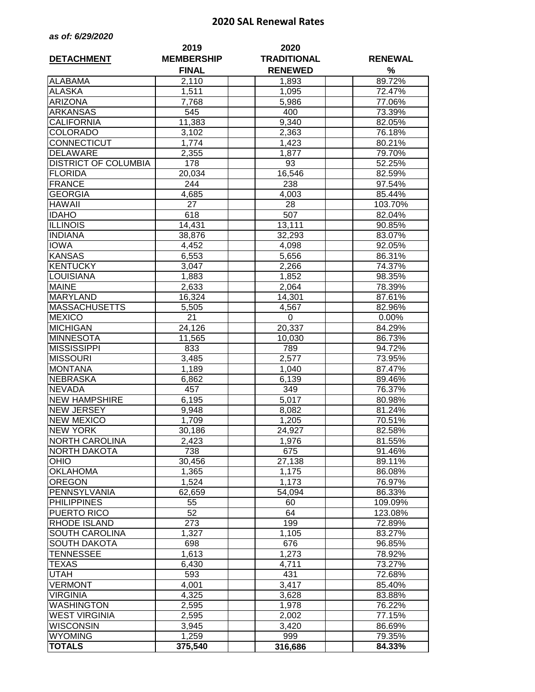## **2020 SAL Renewal Rates**

| as of: 6/29/2020 |  |  |  |  |
|------------------|--|--|--|--|
|------------------|--|--|--|--|

| <b>DETACHMENT</b>           | 2019<br><b>MEMBERSHIP</b> | 2020<br><b>TRADITIONAL</b> | <b>RENEWAL</b> |
|-----------------------------|---------------------------|----------------------------|----------------|
|                             | <b>FINAL</b>              | <b>RENEWED</b>             | %              |
| <b>ALABAMA</b>              | 2,110                     | 1,893                      | 89.72%         |
| <b>ALASKA</b>               | 1,511                     | 1,095                      | 72.47%         |
| <b>ARIZONA</b>              | 7,768                     | 5,986                      | 77.06%         |
| <b>ARKANSAS</b>             | 545                       | 400                        | 73.39%         |
| <b>CALIFORNIA</b>           | 11,383                    | 9,340                      | 82.05%         |
| <b>COLORADO</b>             | 3,102                     | 2,363                      | 76.18%         |
| CONNECTICUT                 | 1,774                     | 1,423                      | 80.21%         |
| <b>DELAWARE</b>             | 2,355                     | 1,877                      | 79.70%         |
| <b>DISTRICT OF COLUMBIA</b> | 178                       | 93                         | 52.25%         |
| <b>FLORIDA</b>              | 20,034                    | 16,546                     | 82.59%         |
| <b>FRANCE</b>               | 244                       | 238                        | 97.54%         |
| <b>GEORGIA</b>              | 4,685                     |                            | 85.44%         |
| <b>HAWAII</b>               | 27                        | 4,003<br>28                | 103.70%        |
| <b>IDAHO</b>                |                           |                            |                |
|                             | 618                       | 507                        | 82.04%         |
| <b>ILLINOIS</b>             | 14,431                    | 13,111                     | 90.85%         |
| <b>INDIANA</b>              | 38,876                    | 32,293                     | 83.07%         |
| <b>IOWA</b>                 | 4,452                     | 4,098                      | 92.05%         |
| <b>KANSAS</b>               | 6,553                     | 5,656                      | 86.31%         |
| <b>KENTUCKY</b>             | 3,047                     | 2,266                      | 74.37%         |
| <b>LOUISIANA</b>            | 1,883                     | 1,852                      | 98.35%         |
| <b>MAINE</b>                | 2,633                     | 2,064                      | 78.39%         |
| <b>MARYLAND</b>             | 16,324                    | 14,301                     | 87.61%         |
| <b>MASSACHUSETTS</b>        | 5,505                     | 4,567                      | 82.96%         |
| <b>MEXICO</b>               | 21                        | 0                          | 0.00%          |
| <b>MICHIGAN</b>             | 24,126                    | 20,337                     | 84.29%         |
| <b>MINNESOTA</b>            | 11,565                    | 10,030                     | 86.73%         |
| <b>MISSISSIPPI</b>          | 833                       | 789                        | 94.72%         |
| <b>MISSOURI</b>             | 3,485                     | 2,577                      | 73.95%         |
| <b>MONTANA</b>              | 1,189                     | 1,040                      | 87.47%         |
| <b>NEBRASKA</b>             | 6,862                     | 6,139                      | 89.46%         |
| <b>NEVADA</b>               | 457                       | 349                        | 76.37%         |
| <b>NEW HAMPSHIRE</b>        | 6,195                     | 5,017                      | 80.98%         |
| <b>NEW JERSEY</b>           | 9,948                     | 8,082                      | 81.24%         |
| <b>NEW MEXICO</b>           | 1,709                     | 1,205                      | 70.51%         |
| <b>NEW YORK</b>             | 30,186                    | 24,927                     | 82.58%         |
| <b>NORTH CAROLINA</b>       | 2,423                     | 1,976                      | 81.55%         |
| NORTH DAKOTA                | 738                       | 675                        | 91.46%         |
| <b>OHIO</b>                 | 30,456                    | 27,138                     | 89.11%         |
| <b>OKLAHOMA</b>             | 1,365                     | 1,175                      | 86.08%         |
| <b>OREGON</b>               | 1,524                     | 1,173                      | 76.97%         |
| PENNSYLVANIA                | 62,659                    | 54,094                     | 86.33%         |
| <b>PHILIPPINES</b>          | 55                        | 60                         | 109.09%        |
| PUERTO RICO                 | 52                        | 64                         | 123.08%        |
| <b>RHODE ISLAND</b>         | 273                       | 199                        | 72.89%         |
| SOUTH CAROLINA              | 1,327                     | 1,105                      | 83.27%         |
| <b>SOUTH DAKOTA</b>         | 698                       | 676                        | 96.85%         |
| TENNESSEE                   | 1,613                     | 1,273                      | 78.92%         |
| TEXAS                       | 6,430                     | 4,711                      | 73.27%         |
| UTAH                        | 593                       | 431                        | 72.68%         |
| <b>VERMONT</b>              | 4,001                     | 3,417                      | 85.40%         |
| <b>VIRGINIA</b>             |                           |                            |                |
|                             | 4,325                     | 3,628                      | 83.88%         |
| <b>WASHINGTON</b>           | 2,595                     | 1,978                      | 76.22%         |
| <b>WEST VIRGINIA</b>        | 2,595                     | 2,002                      | 77.15%         |
| <b>WISCONSIN</b>            | 3,945                     | 3,420                      | 86.69%         |
| <b>WYOMING</b>              | 1,259                     | 999                        | 79.35%         |
| <b>TOTALS</b>               | 375,540                   | 316,686                    | 84.33%         |